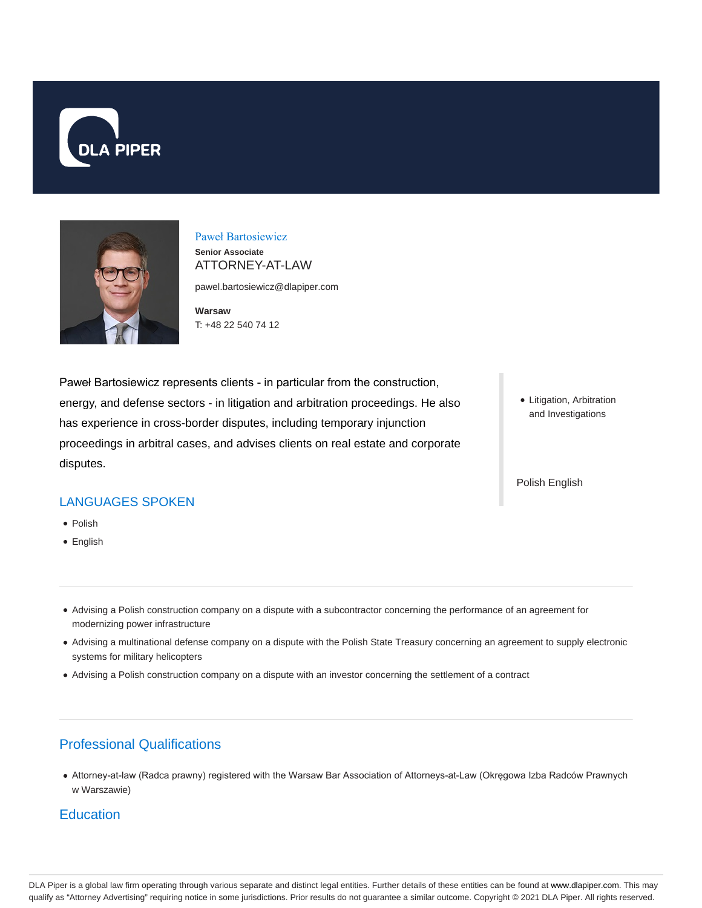



# Paweł Bartosiewicz

**Senior Associate** ATTORNEY-AT-LAW

pawel.bartosiewicz@dlapiper.com

**Warsaw** T: +48 22 540 74 12

Paweł Bartosiewicz represents clients - in particular from the construction, energy, and defense sectors - in litigation and arbitration proceedings. He also has experience in cross-border disputes, including temporary injunction proceedings in arbitral cases, and advises clients on real estate and corporate disputes.

Litigation, Arbitration and Investigations

Polish English

### LANGUAGES SPOKEN

- Polish
- English
- Advising a Polish construction company on a dispute with a subcontractor concerning the performance of an agreement for modernizing power infrastructure
- Advising a multinational defense company on a dispute with the Polish State Treasury concerning an agreement to supply electronic systems for military helicopters
- Advising a Polish construction company on a dispute with an investor concerning the settlement of a contract

## Professional Qualifications

Attorney-at-law (Radca prawny) registered with the Warsaw Bar Association of Attorneys-at-Law (Okręgowa Izba Radców Prawnych w Warszawie)

#### **Education**